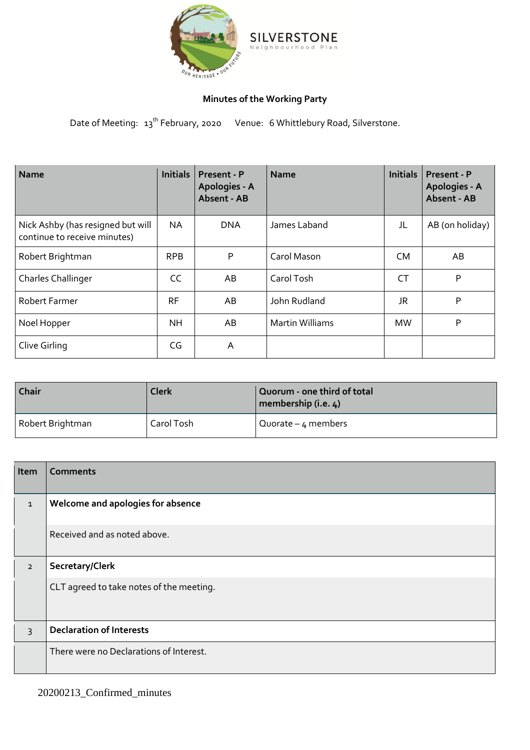

## **Minutes of the Working Party**

Date of Meeting: 13<sup>th</sup> February, 2020 Venue: 6 Whittlebury Road, Silverstone.

| <b>Name</b>                                                       | <b>Initials</b> | Present - P<br>Apologies - A<br>Absent - AB | <b>Name</b>            | <b>Initials</b> | Present - P<br>Apologies - A<br>Absent - AB |
|-------------------------------------------------------------------|-----------------|---------------------------------------------|------------------------|-----------------|---------------------------------------------|
| Nick Ashby (has resigned but will<br>continue to receive minutes) | <b>NA</b>       | <b>DNA</b>                                  | James Laband           | JL              | AB (on holiday)                             |
| Robert Brightman                                                  | <b>RPB</b>      | P                                           | Carol Mason            | <b>CM</b>       | AB                                          |
| <b>Charles Challinger</b>                                         | CC              | AB                                          | Carol Tosh             | <b>CT</b>       | P                                           |
| <b>Robert Farmer</b>                                              | <b>RF</b>       | AB                                          | John Rudland           | JR              | P                                           |
| Noel Hopper                                                       | <b>NH</b>       | AB                                          | <b>Martin Williams</b> | <b>MW</b>       | P                                           |
| Clive Girling                                                     | CG              | A                                           |                        |                 |                                             |

| Chair                          | <b>Clerk</b> | Quorum - one third of total<br>membership (i.e. 4) |
|--------------------------------|--------------|----------------------------------------------------|
| Robert Brightman<br>Carol Tosh |              | Quorate $-4$ members                               |

| Item           | <b>Comments</b>                          |
|----------------|------------------------------------------|
| $\mathbf{1}$   | Welcome and apologies for absence        |
|                | Received and as noted above.             |
| $\overline{2}$ | Secretary/Clerk                          |
|                | CLT agreed to take notes of the meeting. |
| $\overline{3}$ | <b>Declaration of Interests</b>          |
|                | There were no Declarations of Interest.  |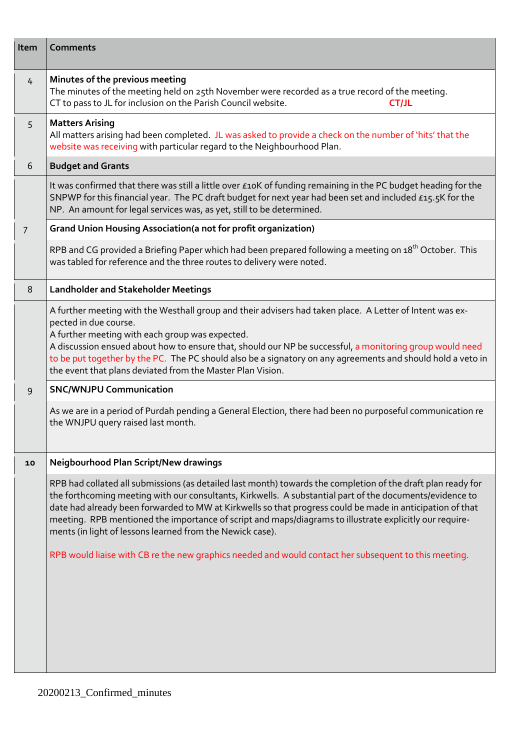| Item          | <b>Comments</b>                                                                                                                                                                                                                                                                                                                                                                                                                                                                                                                                                                                                        |
|---------------|------------------------------------------------------------------------------------------------------------------------------------------------------------------------------------------------------------------------------------------------------------------------------------------------------------------------------------------------------------------------------------------------------------------------------------------------------------------------------------------------------------------------------------------------------------------------------------------------------------------------|
| $\frac{1}{4}$ | Minutes of the previous meeting<br>The minutes of the meeting held on 25th November were recorded as a true record of the meeting.<br>CT to pass to JL for inclusion on the Parish Council website.<br><b>CT/JL</b>                                                                                                                                                                                                                                                                                                                                                                                                    |
| 5             | <b>Matters Arising</b><br>All matters arising had been completed. JL was asked to provide a check on the number of 'hits' that the<br>website was receiving with particular regard to the Neighbourhood Plan.                                                                                                                                                                                                                                                                                                                                                                                                          |
| 6             | <b>Budget and Grants</b>                                                                                                                                                                                                                                                                                                                                                                                                                                                                                                                                                                                               |
|               | It was confirmed that there was still a little over £10K of funding remaining in the PC budget heading for the<br>SNPWP for this financial year. The PC draft budget for next year had been set and included £15.5K for the<br>NP. An amount for legal services was, as yet, still to be determined.                                                                                                                                                                                                                                                                                                                   |
| 7             | <b>Grand Union Housing Association (a not for profit organization)</b>                                                                                                                                                                                                                                                                                                                                                                                                                                                                                                                                                 |
|               | RPB and CG provided a Briefing Paper which had been prepared following a meeting on 18 <sup>th</sup> October. This<br>was tabled for reference and the three routes to delivery were noted.                                                                                                                                                                                                                                                                                                                                                                                                                            |
| 8             | <b>Landholder and Stakeholder Meetings</b>                                                                                                                                                                                                                                                                                                                                                                                                                                                                                                                                                                             |
|               | A further meeting with the Westhall group and their advisers had taken place. A Letter of Intent was ex-<br>pected in due course.<br>A further meeting with each group was expected.<br>A discussion ensued about how to ensure that, should our NP be successful, a monitoring group would need<br>to be put together by the PC. The PC should also be a signatory on any agreements and should hold a veto in<br>the event that plans deviated from the Master Plan Vision.                                                                                                                                          |
| 9             | <b>SNC/WNJPU Communication</b>                                                                                                                                                                                                                                                                                                                                                                                                                                                                                                                                                                                         |
|               | As we are in a period of Purdah pending a General Election, there had been no purposeful communication re<br>the WNJPU query raised last month.                                                                                                                                                                                                                                                                                                                                                                                                                                                                        |
| 10            | Neigbourhood Plan Script/New drawings                                                                                                                                                                                                                                                                                                                                                                                                                                                                                                                                                                                  |
|               | RPB had collated all submissions (as detailed last month) towards the completion of the draft plan ready for<br>the forthcoming meeting with our consultants, Kirkwells. A substantial part of the documents/evidence to<br>date had already been forwarded to MW at Kirkwells so that progress could be made in anticipation of that<br>meeting. RPB mentioned the importance of script and maps/diagrams to illustrate explicitly our require-<br>ments (in light of lessons learned from the Newick case).<br>RPB would liaise with CB re the new graphics needed and would contact her subsequent to this meeting. |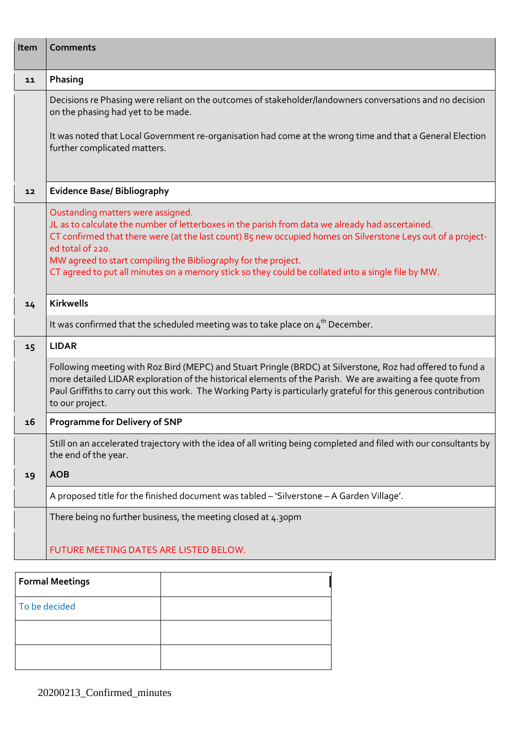| Item | <b>Comments</b>                                                                                                                                                                                                                                                                                                                                                                                                                                   |
|------|---------------------------------------------------------------------------------------------------------------------------------------------------------------------------------------------------------------------------------------------------------------------------------------------------------------------------------------------------------------------------------------------------------------------------------------------------|
| 11   | Phasing                                                                                                                                                                                                                                                                                                                                                                                                                                           |
|      | Decisions re Phasing were reliant on the outcomes of stakeholder/landowners conversations and no decision<br>on the phasing had yet to be made.                                                                                                                                                                                                                                                                                                   |
|      | It was noted that Local Government re-organisation had come at the wrong time and that a General Election<br>further complicated matters.                                                                                                                                                                                                                                                                                                         |
| 12   | <b>Evidence Base/ Bibliography</b>                                                                                                                                                                                                                                                                                                                                                                                                                |
|      | Oustanding matters were assigned.<br>JL as to calculate the number of letterboxes in the parish from data we already had ascertained.<br>CT confirmed that there were (at the last count) 85 new occupied homes on Silverstone Leys out of a project-<br>ed total of 220.<br>MW agreed to start compiling the Bibliography for the project.<br>CT agreed to put all minutes on a memory stick so they could be collated into a single file by MW. |
| 14   | <b>Kirkwells</b>                                                                                                                                                                                                                                                                                                                                                                                                                                  |
|      | It was confirmed that the scheduled meeting was to take place on $4th$ December.                                                                                                                                                                                                                                                                                                                                                                  |
| 15   | <b>LIDAR</b>                                                                                                                                                                                                                                                                                                                                                                                                                                      |
|      | Following meeting with Roz Bird (MEPC) and Stuart Pringle (BRDC) at Silverstone, Roz had offered to fund a<br>more detailed LIDAR exploration of the historical elements of the Parish. We are awaiting a fee quote from<br>Paul Griffiths to carry out this work. The Working Party is particularly grateful for this generous contribution<br>to our project.                                                                                   |
| 16   | <b>Programme for Delivery of SNP</b>                                                                                                                                                                                                                                                                                                                                                                                                              |
|      | Still on an accelerated trajectory with the idea of all writing being completed and filed with our consultants by<br>the end of the year.                                                                                                                                                                                                                                                                                                         |
| 19   | <b>AOB</b>                                                                                                                                                                                                                                                                                                                                                                                                                                        |
|      | A proposed title for the finished document was tabled - 'Silverstone - A Garden Village'.                                                                                                                                                                                                                                                                                                                                                         |
|      | There being no further business, the meeting closed at 4.30pm                                                                                                                                                                                                                                                                                                                                                                                     |
|      | FUTURE MEETING DATES ARE LISTED BELOW.                                                                                                                                                                                                                                                                                                                                                                                                            |

| <b>Formal Meetings</b> |  |
|------------------------|--|
| To be decided          |  |
|                        |  |
|                        |  |

20200213\_Confirmed\_minutes